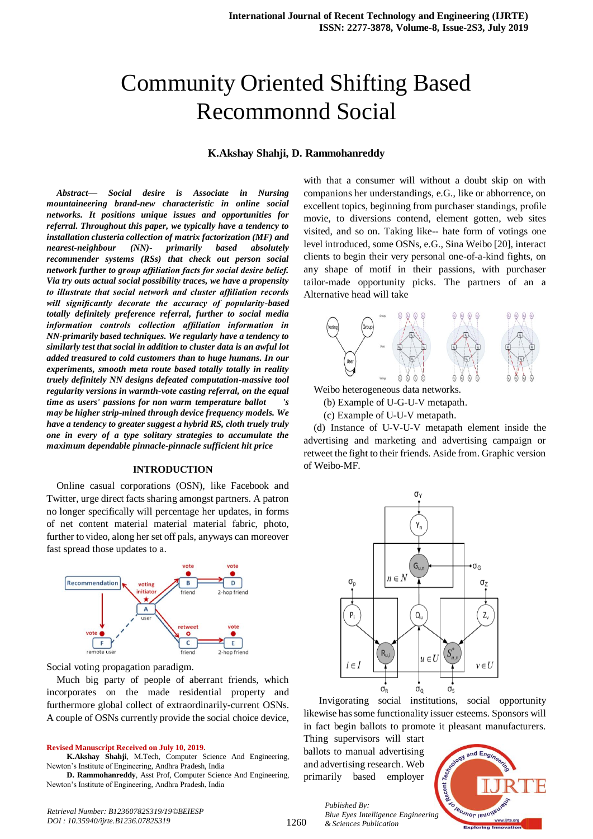# Community Oriented Shifting Based Recommonnd Social

# **K.Akshay Shahji, D. Rammohanreddy**

*Abstract***—** *Social desire is Associate in Nursing mountaineering brand-new characteristic in online social networks. It positions unique issues and opportunities for referral. Throughout this paper, we typically have a tendency to installation clusteria collection of matrix factorization (MF) and nearest-neighbour (NN)- primarily based absolutely recommender systems (RSs) that check out person social network further to group affiliation facts for social desire belief. Via try outs actual social possibility traces, we have a propensity to illustrate that social network and cluster affiliation records will significantly decorate the accuracy of popularity-based totally definitely preference referral, further to social media information controls collection affiliation information in NN-primarily based techniques. We regularly have a tendency to similarly test that social in addition to cluster data is an awful lot added treasured to cold customers than to huge humans. In our experiments, smooth meta route based totally totally in reality truely definitely NN designs defeated computation-massive tool regularity versions in warmth-vote casting referral, on the equal time as users' passions for non warm temperature ballot may be higher strip-mined through device frequency models. We have a tendency to greater suggest a hybrid RS, cloth truely truly one in every of a type solitary strategies to accumulate the maximum dependable pinnacle-pinnacle sufficient hit price*

### **INTRODUCTION**

Online casual corporations (OSN), like Facebook and Twitter, urge direct facts sharing amongst partners. A patron no longer specifically will percentage her updates, in forms of net content material material material fabric, photo, further to video, along her set off pals, anyways can moreover fast spread those updates to a.



Social voting propagation paradigm.

Much big party of people of aberrant friends, which incorporates on the made residential property and furthermore global collect of extraordinarily-current OSNs. A couple of OSNs currently provide the social choice device,

#### **Revised Manuscript Received on July 10, 2019.**

**K.Akshay Shahji**, M.Tech, Computer Science And Engineering, Newton's Institute of Engineering, Andhra Pradesh, India

**D. Rammohanreddy**, Asst Prof, Computer Science And Engineering, Newton's Institute of Engineering, Andhra Pradesh, India

with that a consumer will without a doubt skip on with companions her understandings, e.G., like or abhorrence, on excellent topics, beginning from purchaser standings, profile movie, to diversions contend, element gotten, web sites visited, and so on. Taking like-- hate form of votings one level introduced, some OSNs, e.G., Sina Weibo [20], interact clients to begin their very personal one-of-a-kind fights, on any shape of motif in their passions, with purchaser tailor-made opportunity picks. The partners of an a Alternative head will take



Weibo heterogeneous data networks.

(b) Example of U-G-U-V metapath.

(c) Example of U-U-V metapath.

(d) Instance of U-V-U-V metapath element inside the advertising and marketing and advertising campaign or retweet the fight to their friends. Aside from. Graphic version of Weibo-MF.



 Invigorating social institutions, social opportunity likewise has some functionality issuer esteems. Sponsors will in fact begin ballots to promote it pleasant manufacturers.

Thing supervisors will start ballots to manual advertising and advertising research. Web primarily based employer

*& Sciences Publication* 

*Published By:*



*Retrieval Number: B12360782S319/19©BEIESP DOI : 10.35940/ijrte.B1236.0782S319*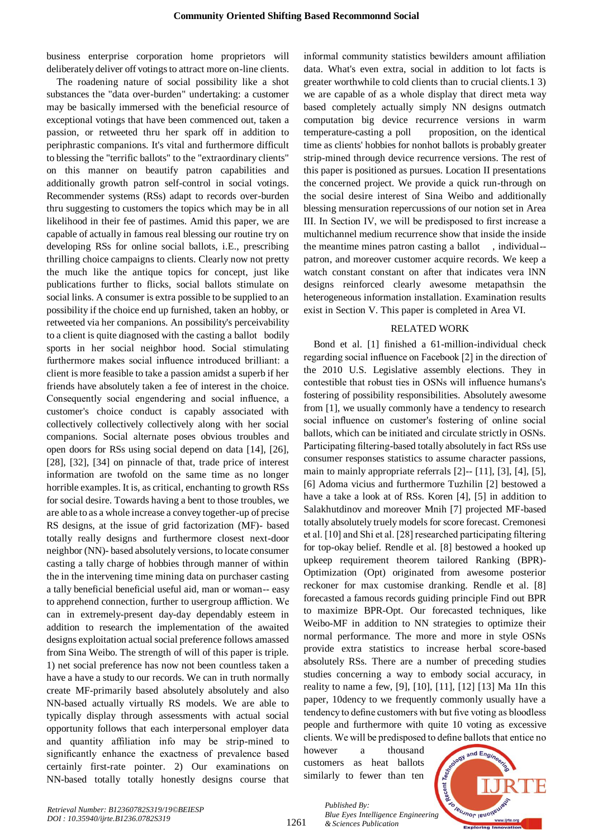business enterprise corporation home proprietors will deliberately deliver off votings to attract more on-line clients.

The roadening nature of social possibility like a shot substances the "data over-burden" undertaking: a customer may be basically immersed with the beneficial resource of exceptional votings that have been commenced out, taken a passion, or retweeted thru her spark off in addition to periphrastic companions. It's vital and furthermore difficult to blessing the "terrific ballots" to the "extraordinary clients" on this manner on beautify patron capabilities and additionally growth patron self-control in social votings. Recommender systems (RSs) adapt to records over-burden thru suggesting to customers the topics which may be in all likelihood in their fee of pastimes. Amid this paper, we are capable of actually in famous real blessing our routine try on developing RSs for online social ballots, i.E., prescribing thrilling choice campaigns to clients. Clearly now not pretty the much like the antique topics for concept, just like publications further to flicks, social ballots stimulate on social links. A consumer is extra possible to be supplied to an possibility if the choice end up furnished, taken an hobby, or retweeted via her companions. An possibility's perceivability to a client is quite diagnosed with the casting a ballot bodily sports in her social neighbor hood. Social stimulating furthermore makes social influence introduced brilliant: a client is more feasible to take a passion amidst a superb if her friends have absolutely taken a fee of interest in the choice. Consequently social engendering and social influence, a customer's choice conduct is capably associated with collectively collectively collectively along with her social companions. Social alternate poses obvious troubles and open doors for RSs using social depend on data [14], [26], [28], [32], [34] on pinnacle of that, trade price of interest information are twofold on the same time as no longer horrible examples. It is, as critical, enchanting to growth RSs for social desire. Towards having a bent to those troubles, we are able to as a whole increase a convey together-up of precise RS designs, at the issue of grid factorization (MF)- based totally really designs and furthermore closest next-door neighbor (NN)- based absolutely versions, to locate consumer casting a tally charge of hobbies through manner of within the in the intervening time mining data on purchaser casting a tally beneficial beneficial useful aid, man or woman-- easy to apprehend connection, further to usergroup affliction. We can in extremely-present day-day dependably esteem in addition to research the implementation of the awaited designs exploitation actual social preference follows amassed from Sina Weibo. The strength of will of this paper is triple. 1) net social preference has now not been countless taken a have a have a study to our records. We can in truth normally create MF-primarily based absolutely absolutely and also NN-based actually virtually RS models. We are able to typically display through assessments with actual social opportunity follows that each interpersonal employer data and quantity affiliation info may be strip-mined to significantly enhance the exactness of prevalence based certainly first-rate pointer. 2) Our examinations on NN-based totally totally honestly designs course that informal community statistics bewilders amount affiliation data. What's even extra, social in addition to lot facts is greater worthwhile to cold clients than to crucial clients.1 3) we are capable of as a whole display that direct meta way based completely actually simply NN designs outmatch computation big device recurrence versions in warm temperature-casting a poll proposition, on the identical time as clients' hobbies for nonhot ballots is probably greater strip-mined through device recurrence versions. The rest of this paper is positioned as pursues. Location II presentations the concerned project. We provide a quick run-through on the social desire interest of Sina Weibo and additionally blessing mensuration repercussions of our notion set in Area III. In Section IV, we will be predisposed to first increase a multichannel medium recurrence show that inside the inside the meantime mines patron casting a ballot , individual- patron, and moreover customer acquire records. We keep a watch constant constant on after that indicates vera lNN designs reinforced clearly awesome metapathsin the heterogeneous information installation. Examination results exist in Section V. This paper is completed in Area VI.

# RELATED WORK

Bond et al. [1] finished a 61-million-individual check regarding social influence on Facebook [2] in the direction of the 2010 U.S. Legislative assembly elections. They in contestible that robust ties in OSNs will influence humans's fostering of possibility responsibilities. Absolutely awesome from [1], we usually commonly have a tendency to research social influence on customer's fostering of online social ballots, which can be initiated and circulate strictly in OSNs. Participating filtering-based totally absolutely in fact RSs use consumer responses statistics to assume character passions, main to mainly appropriate referrals [2]-- [11], [3], [4], [5], [6] Adoma vicius and furthermore Tuzhilin [2] bestowed a have a take a look at of RSs. Koren [4], [5] in addition to Salakhutdinov and moreover Mnih [7] projected MF-based totally absolutely truely models for score forecast. Cremonesi et al. [10] and Shi et al. [28] researched participating filtering for top-okay belief. Rendle et al. [8] bestowed a hooked up upkeep requirement theorem tailored Ranking (BPR)- Optimization (Opt) originated from awesome posterior reckoner for max customise dranking. Rendle et al. [8] forecasted a famous records guiding principle Find out BPR to maximize BPR-Opt. Our forecasted techniques, like Weibo-MF in addition to NN strategies to optimize their normal performance. The more and more in style OSNs provide extra statistics to increase herbal score-based absolutely RSs. There are a number of preceding studies studies concerning a way to embody social accuracy, in reality to name a few, [9], [10], [11], [12] [13] Ma 1In this paper, 10dency to we frequently commonly usually have a tendency to define customers with but five voting as bloodless people and furthermore with quite 10 voting as excessive clients. We will be predisposed to define ballots that entice no

however a thousand customers as heat ballots similarly to fewer than ten



1261

*Published By: Blue Eyes Intelligence Engineering & Sciences Publication*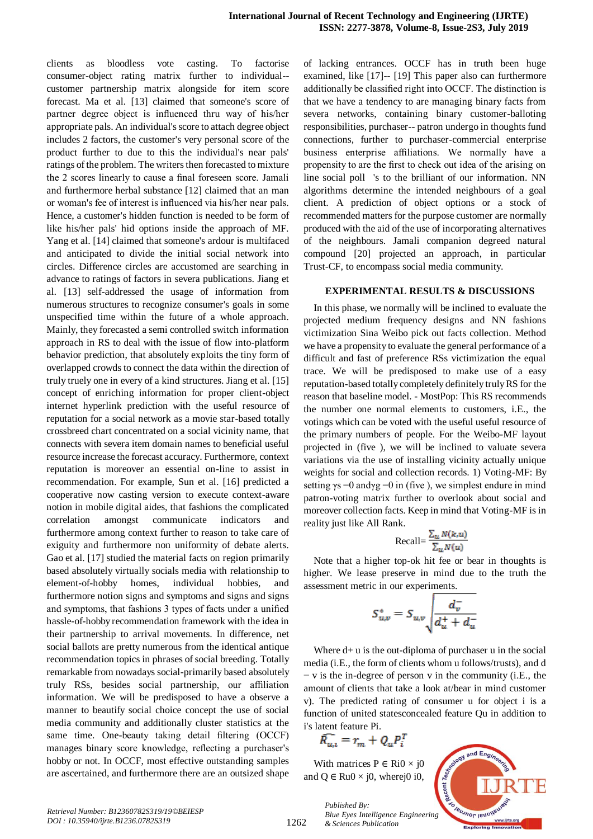clients as bloodless vote casting. To factorise consumer-object rating matrix further to individual- customer partnership matrix alongside for item score forecast. Ma et al. [13] claimed that someone's score of partner degree object is influenced thru way of his/her appropriate pals. An individual's score to attach degree object includes 2 factors, the customer's very personal score of the product further to due to this the individual's near pals' ratings of the problem. The writers then forecasted to mixture the 2 scores linearly to cause a final foreseen score. Jamali and furthermore herbal substance [12] claimed that an man or woman's fee of interest is influenced via his/her near pals. Hence, a customer's hidden function is needed to be form of like his/her pals' hid options inside the approach of MF. Yang et al. [14] claimed that someone's ardour is multifaced and anticipated to divide the initial social network into circles. Difference circles are accustomed are searching in advance to ratings of factors in severa publications. Jiang et al. [13] self-addressed the usage of information from numerous structures to recognize consumer's goals in some unspecified time within the future of a whole approach. Mainly, they forecasted a semi controlled switch information approach in RS to deal with the issue of flow into-platform behavior prediction, that absolutely exploits the tiny form of overlapped crowds to connect the data within the direction of truly truely one in every of a kind structures. Jiang et al. [15] concept of enriching information for proper client-object internet hyperlink prediction with the useful resource of reputation for a social network as a movie star-based totally crossbreed chart concentrated on a social vicinity name, that connects with severa item domain names to beneficial useful resource increase the forecast accuracy. Furthermore, context reputation is moreover an essential on-line to assist in recommendation. For example, Sun et al. [16] predicted a cooperative now casting version to execute context-aware notion in mobile digital aides, that fashions the complicated correlation amongst communicate indicators and furthermore among context further to reason to take care of exiguity and furthermore non uniformity of debate alerts. Gao et al. [17] studied the material facts on region primarily based absolutely virtually socials media with relationship to element-of-hobby homes, individual hobbies, and furthermore notion signs and symptoms and signs and signs and symptoms, that fashions 3 types of facts under a unified hassle-of-hobby recommendation framework with the idea in their partnership to arrival movements. In difference, net social ballots are pretty numerous from the identical antique recommendation topics in phrases of social breeding. Totally remarkable from nowadays social-primarily based absolutely truly RSs, besides social partnership, our affiliation information. We will be predisposed to have a observe a manner to beautify social choice concept the use of social media community and additionally cluster statistics at the same time. One-beauty taking detail filtering (OCCF) manages binary score knowledge, reflecting a purchaser's hobby or not. In OCCF, most effective outstanding samples are ascertained, and furthermore there are an outsized shape of lacking entrances. OCCF has in truth been huge examined, like [17]-- [19] This paper also can furthermore additionally be classified right into OCCF. The distinction is that we have a tendency to are managing binary facts from severa networks, containing binary customer-balloting responsibilities, purchaser-- patron undergo in thoughts fund connections, further to purchaser-commercial enterprise business enterprise affiliations. We normally have a propensity to are the first to check out idea of the arising on line social poll 's to the brilliant of our information. NN algorithms determine the intended neighbours of a goal client. A prediction of object options or a stock of recommended matters for the purpose customer are normally produced with the aid of the use of incorporating alternatives of the neighbours. Jamali companion degreed natural compound [20] projected an approach, in particular Trust-CF, to encompass social media community.

# **EXPERIMENTAL RESULTS & DISCUSSIONS**

In this phase, we normally will be inclined to evaluate the projected medium frequency designs and NN fashions victimization Sina Weibo pick out facts collection. Method we have a propensity to evaluate the general performance of a difficult and fast of preference RSs victimization the equal trace. We will be predisposed to make use of a easy reputation-based totally completely definitely truly RS for the reason that baseline model. - MostPop: This RS recommends the number one normal elements to customers, i.E., the votings which can be voted with the useful useful resource of the primary numbers of people. For the Weibo-MF layout projected in (five ), we will be inclined to valuate severa variations via the use of installing vicinity actually unique weights for social and collection records. 1) Voting-MF: By setting  $\gamma s = 0$  and  $\gamma g = 0$  in (five ), we simplest endure in mind patron-voting matrix further to overlook about social and moreover collection facts. Keep in mind that Voting-MF is in reality just like All Rank.

$$
Recall = \frac{\sum_{u} N(k, u)}{\sum_{u} N(u)}
$$

Note that a higher top-ok hit fee or bear in thoughts is higher. We lease preserve in mind due to the truth the assessment metric in our experiments.

$$
S_{u,v}^* = S_{u,v} \sqrt{\frac{d_v^{\top}}{d_u^+ + d_u^-}}
$$

Where  $d+u$  is the out-diploma of purchaser u in the social media (i.E., the form of clients whom u follows/trusts), and d − v is the in-degree of person v in the community (i.E., the amount of clients that take a look at/bear in mind customer v). The predicted rating of consumer u for object i is a function of united statesconcealed feature Qu in addition to i's latent feature Pi.

$$
\widehat{R_{u,i}} = r_m + Q_u P_i^T
$$

With matrices  $P \in \text{Ri}0 \times i0$ and  $Q \in Ru0 \times j0$ , wherej0 i0,



1262

*Published By: Blue Eyes Intelligence Engineering & Sciences Publication*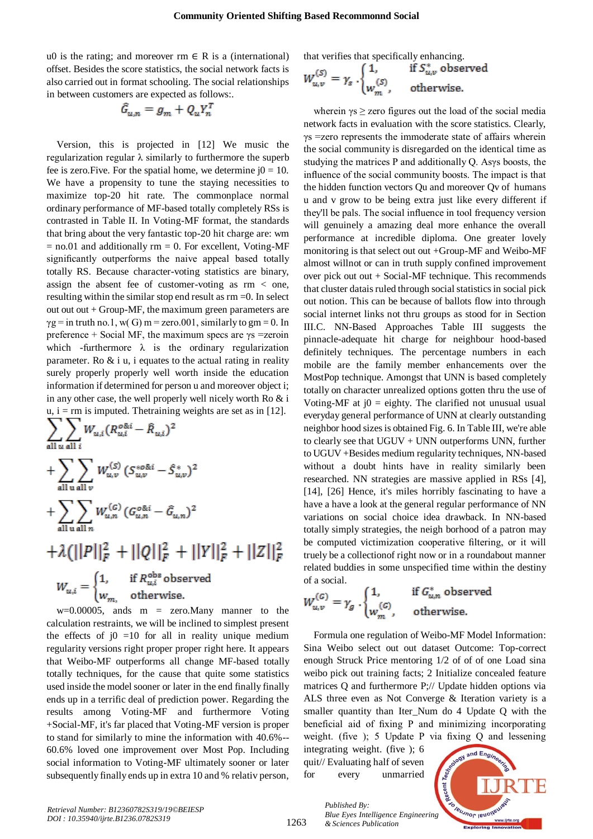u0 is the rating; and moreover rm  $\in$  R is a (international) offset. Besides the score statistics, the social network facts is also carried out in format schooling. The social relationships in between customers are expected as follows:.

$$
\tilde{G}_{u,n} = g_m + Q_u Y_n^T
$$

Version, this is projected in [12] We music the regularization regular λ similarly to furthermore the superb fee is zero. Five. For the spatial home, we determine  $i0 = 10$ . We have a propensity to tune the staying necessities to maximize top-20 hit rate. The commonplace normal ordinary performance of MF-based totally completely RSs is contrasted in Table II. In Voting-MF format, the standards that bring about the very fantastic top-20 hit charge are: wm  $=$  no.01 and additionally rm  $=$  0. For excellent, Voting-MF significantly outperforms the naive appeal based totally totally RS. Because character-voting statistics are binary, assign the absent fee of customer-voting as rm < one, resulting within the similar stop end result as rm =0. In select out out  $+$  Group-MF, the maximum green parameters are  $\gamma$ g = in truth no.1, w(G) m = zero.001, similarly to gm = 0. In preference + Social MF, the maximum specs are  $\gamma s$  =zeroin which -furthermore  $\lambda$  is the ordinary regularization parameter. Ro  $&$  i u, i equates to the actual rating in reality surely properly properly well worth inside the education information if determined for person u and moreover object i; in any other case, the well properly well nicely worth Ro & i  $u, i = r$ m is imputed. The training weights are set as in [12].

$$
\sum_{\text{all }u \text{ all }i} W_{u,i} (R_{u,i}^{o\&i} - \hat{R}_{u,i})^2
$$
  
+ 
$$
\sum_{\text{all }u \text{ all }v} W_{u,v}^{(S)} (S_{u,v}^{*o\&i} - \hat{S}_{u,v}^{*})^2
$$
  
+ 
$$
\sum_{\text{all }u \text{ all }n} W_{u,n}^{(G)} (G_{u,n}^{o\&i} - \hat{G}_{u,n})^2
$$

 $+\lambda(||P||_F^2 + ||Q||_F^2 + ||Y||_F^2 + ||Z||_F^2$ 

$$
W_{u,i} = \begin{cases} 1, & \text{if } R_{u,i}^{\text{obs}} \text{ observed} \\ w_{m,i} & \text{otherwise.} \end{cases}
$$

 $w=0.00005$ , ands  $m =$  zero. Many manner to the calculation restraints, we will be inclined to simplest present the effects of  $j0 =10$  for all in reality unique medium regularity versions right proper proper right here. It appears that Weibo-MF outperforms all change MF-based totally totally techniques, for the cause that quite some statistics used inside the model sooner or later in the end finally finally ends up in a terrific deal of prediction power. Regarding the results among Voting-MF and furthermore Voting +Social-MF, it's far placed that Voting-MF version is proper to stand for similarly to mine the information with 40.6%-- 60.6% loved one improvement over Most Pop. Including social information to Voting-MF ultimately sooner or later subsequently finally ends up in extra 10 and % relativ person,

that verifies that specifically enhancing.

$$
W_{u,v}^{(S)} = \gamma_s \cdot \begin{cases} 1, & \text{if } S_{u,v}^* \text{ observed} \\ w_m^{(S)}, & \text{otherwise.} \end{cases}
$$

wherein  $\gamma s \geq$  zero figures out the load of the social media network facts in evaluation with the score statistics. Clearly, γs =zero represents the immoderate state of affairs wherein the social community is disregarded on the identical time as studying the matrices P and additionally Q. Asγs boosts, the influence of the social community boosts. The impact is that the hidden function vectors Qu and moreover Qv of humans u and v grow to be being extra just like every different if they'll be pals. The social influence in tool frequency version will genuinely a amazing deal more enhance the overall performance at incredible diploma. One greater lovely monitoring is that select out out +Group-MF and Weibo-MF almost willnot or can in truth supply confined improvement over pick out out  $+$  Social-MF technique. This recommends that cluster datais ruled through social statistics in social pick out notion. This can be because of ballots flow into through social internet links not thru groups as stood for in Section III.C. NN-Based Approaches Table III suggests the pinnacle-adequate hit charge for neighbour hood-based definitely techniques. The percentage numbers in each mobile are the family member enhancements over the MostPop technique. Amongst that UNN is based completely totally on character unrealized options gotten thru the use of Voting-MF at  $j0 =$  eighty. The clarified not unusual usual everyday general performance of UNN at clearly outstanding neighbor hood sizes is obtained Fig. 6. In Table III, we're able to clearly see that UGUV + UNN outperforms UNN, further to UGUV +Besides medium regularity techniques, NN-based without a doubt hints have in reality similarly been researched. NN strategies are massive applied in RSs [4], [14], [26] Hence, it's miles horribly fascinating to have a have a have a look at the general regular performance of NN variations on social choice idea drawback. In NN-based totally simply strategies, the neigh borhood of a patron may be computed victimization cooperative filtering, or it will truely be a collectionof right now or in a roundabout manner related buddies in some unspecified time within the destiny of a social.

$$
W_{u,v}^{(G)} = \gamma_g \cdot \begin{cases} 1, & \text{if $G_{u,n}^*$ observed} \\ w_m^{(G)}, & \text{otherwise.} \end{cases}
$$

Formula one regulation of Weibo-MF Model Information: Sina Weibo select out out dataset Outcome: Top-correct enough Struck Price mentoring 1/2 of of of one Load sina weibo pick out training facts; 2 Initialize concealed feature matrices Q and furthermore P;// Update hidden options via ALS three even as Not Converge & Iteration variety is a smaller quantity than Iter\_Num do 4 Update Q with the beneficial aid of fixing P and minimizing incorporating weight. (five ); 5 Update P via fixing Q and lessening

integrating weight. (five ); 6 quit// Evaluating half of seven for every unmarried



1263

*Published By: Blue Eyes Intelligence Engineering & Sciences Publication*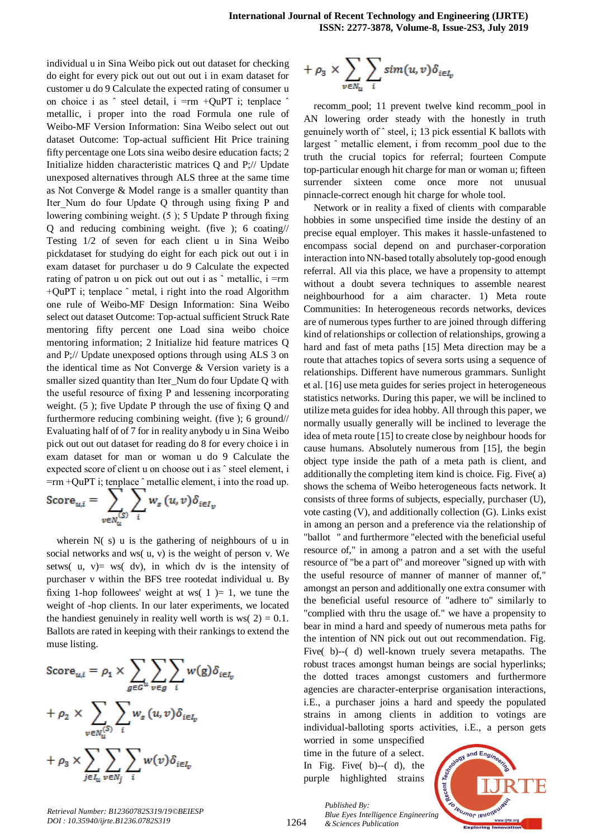individual u in Sina Weibo pick out out dataset for checking do eight for every pick out out out out i in exam dataset for customer u do 9 Calculate the expected rating of consumer u on choice i as ˆ steel detail, i =rm +QuPT i; tenplace ˆ metallic, i proper into the road Formula one rule of Weibo-MF Version Information: Sina Weibo select out out dataset Outcome: Top-actual sufficient Hit Price training fifty percentage one Lots sina weibo desire education facts; 2 Initialize hidden characteristic matrices Q and P;// Update unexposed alternatives through ALS three at the same time as Not Converge & Model range is a smaller quantity than Iter Num do four Update O through using fixing P and lowering combining weight. (5 ); 5 Update P through fixing Q and reducing combining weight. (five ); 6 coating// Testing 1/2 of seven for each client u in Sina Weibo pickdataset for studying do eight for each pick out out i in exam dataset for purchaser u do 9 Calculate the expected rating of patron u on pick out out out i as  $\hat{ }$  metallic, i =rm +QuPT i; tenplace ˆ metal, i right into the road Algorithm one rule of Weibo-MF Design Information: Sina Weibo select out dataset Outcome: Top-actual sufficient Struck Rate mentoring fifty percent one Load sina weibo choice mentoring information; 2 Initialize hid feature matrices Q and P;// Update unexposed options through using ALS 3 on the identical time as Not Converge & Version variety is a smaller sized quantity than Iter\_Num do four Update Q with the useful resource of fixing P and lessening incorporating weight. (5 ); five Update P through the use of fixing Q and furthermore reducing combining weight. (five ); 6 ground// Evaluating half of of 7 for in reality anybody u in Sina Weibo pick out out out dataset for reading do 8 for every choice i in exam dataset for man or woman u do 9 Calculate the expected score of client u on choose out i as ˆ steel element, i =rm +QuPT i; tenplace ˆ metallic element, i into the road up.

$$
\text{Score}_{u,i} = \sum_{v \in N_u^{(S)}} \sum_i w_s(u,v) \delta_{i \in I_v}
$$

wherein N(s) u is the gathering of neighbours of u in social networks and ws( u, v) is the weight of person v. We setws( $u, v$ ) = ws( $dv$ ), in which dv is the intensity of purchaser v within the BFS tree rootedat individual u. By fixing 1-hop followees' weight at ws( $1$ ) = 1, we tune the weight of -hop clients. In our later experiments, we located the handiest genuinely in reality well worth is ws( $2$ ) = 0.1. Ballots are rated in keeping with their rankings to extend the muse listing.

$$
\begin{aligned} \text{Score}_{u,i} &= \rho_1 \times \sum_{g \in G^u} \sum_{v \in g} \sum_i w(g) \delta_{i \in I_v} \\ &+ \rho_2 \times \sum_{v \in N_u^{(S)}} \sum_i w_s(u,v) \delta_{i \in I_v} \\ &+ \rho_3 \times \sum_{j \in I_u} \sum_{v \in N_j} \sum_i w(v) \delta_{i \in I_v} \end{aligned}
$$

*Retrieval Number: B12360782S319/19©BEIESP DOI : 10.35940/ijrte.B1236.0782S319*

$$
+\rho_3 \times \sum_{v \in N_u} \sum_i sim(u,v) \delta_{i \in I_v}
$$

recomm\_pool; 11 prevent twelve kind recomm\_pool in AN lowering order steady with the honestly in truth genuinely worth of ˆ steel, i; 13 pick essential K ballots with largest ˆ metallic element, i from recomm\_pool due to the truth the crucial topics for referral; fourteen Compute top-particular enough hit charge for man or woman u; fifteen surrender sixteen come once more not unusual pinnacle-correct enough hit charge for whole tool.

Network or in reality a fixed of clients with comparable hobbies in some unspecified time inside the destiny of an precise equal employer. This makes it hassle-unfastened to encompass social depend on and purchaser-corporation interaction into NN-based totally absolutely top-good enough referral. All via this place, we have a propensity to attempt without a doubt severa techniques to assemble nearest neighbourhood for a aim character. 1) Meta route Communities: In heterogeneous records networks, devices are of numerous types further to are joined through differing kind of relationships or collection of relationships, growing a hard and fast of meta paths [15] Meta direction may be a route that attaches topics of severa sorts using a sequence of relationships. Different have numerous grammars. Sunlight et al. [16] use meta guides for series project in heterogeneous statistics networks. During this paper, we will be inclined to utilize meta guides for idea hobby. All through this paper, we normally usually generally will be inclined to leverage the idea of meta route [15] to create close by neighbour hoods for cause humans. Absolutely numerous from [15], the begin object type inside the path of a meta path is client, and additionally the completing item kind is choice. Fig. Five( a) shows the schema of Weibo heterogeneous facts network. It consists of three forms of subjects, especially, purchaser (U), vote casting (V), and additionally collection (G). Links exist in among an person and a preference via the relationship of "ballot " and furthermore "elected with the beneficial useful resource of," in among a patron and a set with the useful resource of "be a part of" and moreover "signed up with with the useful resource of manner of manner of manner of," amongst an person and additionally one extra consumer with the beneficial useful resource of "adhere to" similarly to "complied with thru the usage of." we have a propensity to bear in mind a hard and speedy of numerous meta paths for the intention of NN pick out out out recommendation. Fig. Five( b)--( d) well-known truely severa metapaths. The robust traces amongst human beings are social hyperlinks; the dotted traces amongst customers and furthermore agencies are character-enterprise organisation interactions, i.E., a purchaser joins a hard and speedy the populated strains in among clients in addition to votings are individual-balloting sports activities, i.E., a person gets

worried in some unspecified time in the future of a select. In Fig. Five( b)--( d), the purple highlighted strains

*& Sciences Publication* 

*Published By:*

and  $E_{n\alpha i}$ t Techn Recent 7 TRUJNOF IBUOIN *Blue Eyes Intelligence Engineering*